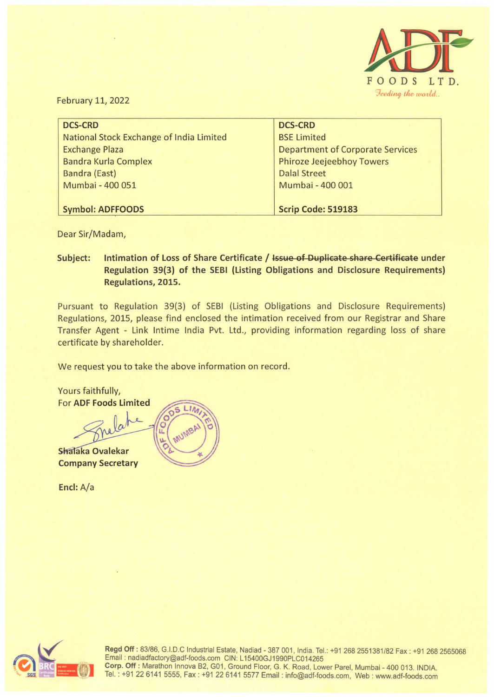

February 11, 2022

| <b>DCS-CRD</b>                           | <b>DCS-CRD</b>                          |
|------------------------------------------|-----------------------------------------|
| National Stock Exchange of India Limited | <b>BSE Limited</b>                      |
| <b>Exchange Plaza</b>                    | <b>Department of Corporate Services</b> |
| <b>Bandra Kurla Complex</b>              | <b>Phiroze Jeejeebhoy Towers</b>        |
| <b>Bandra (East)</b>                     | <b>Dalal Street</b>                     |
| Mumbai - 400 051                         | Mumbai - 400 001                        |
|                                          |                                         |
| <b>Symbol: ADFFOODS</b>                  | <b>Scrip Code: 519183</b>               |

Dear Sir/Madam,

**Subject: Intimation of Loss of Share Certificate / Issue of Duplicate share Certificate under Regulation 39(3) of the SEBI (Listing Obligations and Disclosure Requirements) Regulations, 2015.** 

Pursuant to Regulation 39(3) of SESI (Listing Obligations and Disclosure Requirements) Regulations, 2015, please find enclosed the intimation received from our Registrar and Share Transfer Agent - Link lntime India Pvt. Ltd., providing information regarding loss of share certificate by shareholder.

We request you to take the above information on record.

Yours faithfully, For **ADF Foods Limited**  Shalaka Ovalekar

**Company Secretary** 

**Encl:** A/a



Regd Off: 83/86, G.I.D.C Industrial Estate, Nadiad - 387 001, India. Tel.: +91 268 2551381/82 Fax: +91 268 2565068 Email : nadiadfactory@adf-foods.com CIN: L 15400GJ1990PLC014265 **Corp. Off:** Marathon lnnova B2, G01 , Ground Floor, G. K. Road, Lower Parel, Mumbai - 400 013. INDIA. Tel.: +91 22 6141 5555, Fax: +91226141 5577 Email : info@adf-foods.com, Web : www.adf-foods.com